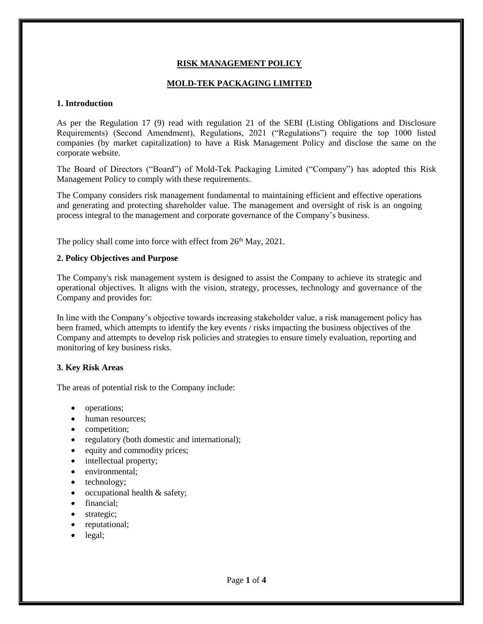## **RISK MANAGEMENT POLICY**

### **MOLD-TEK PACKAGING LIMITED**

#### **1. Introduction**

As per the Regulation 17 (9) read with regulation 21 of the SEBI (Listing Obligations and Disclosure Requirements) (Second Amendment), Regulations, 2021 ("Regulations") require the top 1000 listed companies (by market capitalization) to have a Risk Management Policy and disclose the same on the corporate website.

The Board of Directors ("Board") of Mold-Tek Packaging Limited ("Company") has adopted this Risk Management Policy to comply with these requirements.

The Company considers risk management fundamental to maintaining efficient and effective operations and generating and protecting shareholder value. The management and oversight of risk is an ongoing process integral to the management and corporate governance of the Company's business.

The policy shall come into force with effect from 26<sup>th</sup> May, 2021.

#### **2. Policy Objectives and Purpose**

The Company's risk management system is designed to assist the Company to achieve its strategic and operational objectives. It aligns with the vision, strategy, processes, technology and governance of the Company and provides for:

In line with the Company's objective towards increasing stakeholder value, a risk management policy has been framed, which attempts to identify the key events / risks impacting the business objectives of the Company and attempts to develop risk policies and strategies to ensure timely evaluation, reporting and monitoring of key business risks.

#### **3. Key Risk Areas**

The areas of potential risk to the Company include:

- operations;
- human resources:
- competition;
- regulatory (both domestic and international);
- equity and commodity prices;
- intellectual property;
- environmental;
- technology;
- occupational health & safety;
- financial;
- strategic;
- reputational;
- legal;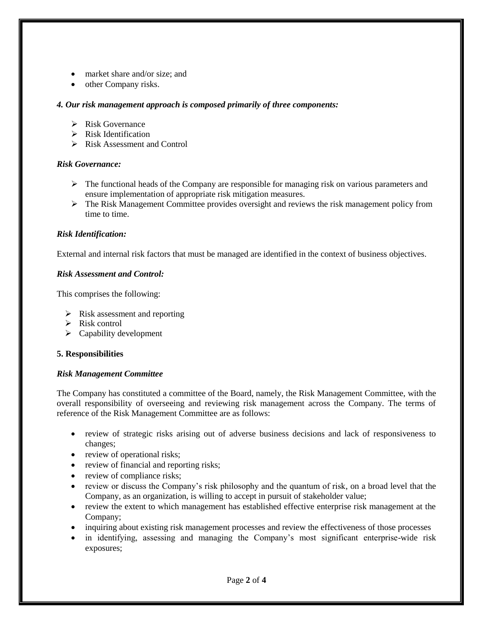- market share and/or size; and
- other Company risks.

### *4. Our risk management approach is composed primarily of three components:*

- $\triangleright$  Risk Governance
- $\triangleright$  Risk Identification
- $\triangleright$  Risk Assessment and Control

### *Risk Governance:*

- $\triangleright$  The functional heads of the Company are responsible for managing risk on various parameters and ensure implementation of appropriate risk mitigation measures.
- The Risk Management Committee provides oversight and reviews the risk management policy from time to time.

### *Risk Identification:*

External and internal risk factors that must be managed are identified in the context of business objectives.

### *Risk Assessment and Control:*

This comprises the following:

- $\triangleright$  Risk assessment and reporting
- $\triangleright$  Risk control
- $\triangleright$  Capability development

### **5. Responsibilities**

### *Risk Management Committee*

The Company has constituted a committee of the Board, namely, the Risk Management Committee, with the overall responsibility of overseeing and reviewing risk management across the Company. The terms of reference of the Risk Management Committee are as follows:

- review of strategic risks arising out of adverse business decisions and lack of responsiveness to changes;
- review of operational risks;
- review of financial and reporting risks;
- review of compliance risks;
- review or discuss the Company's risk philosophy and the quantum of risk, on a broad level that the Company, as an organization, is willing to accept in pursuit of stakeholder value;
- review the extent to which management has established effective enterprise risk management at the Company;
- inquiring about existing risk management processes and review the effectiveness of those processes
- in identifying, assessing and managing the Company's most significant enterprise-wide risk exposures;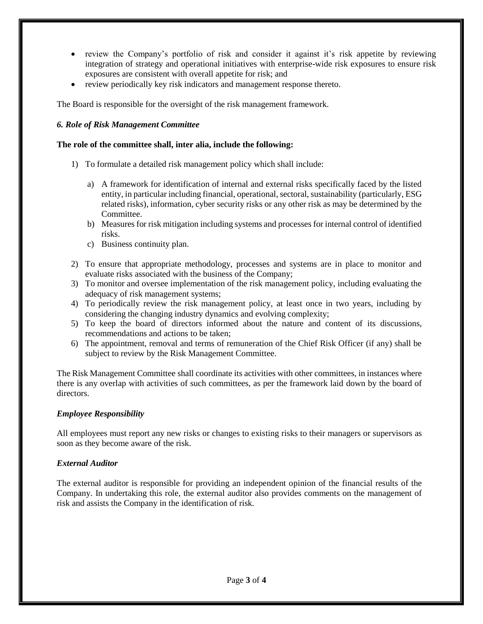- review the Company's portfolio of risk and consider it against it's risk appetite by reviewing integration of strategy and operational initiatives with enterprise-wide risk exposures to ensure risk exposures are consistent with overall appetite for risk; and
- review periodically key risk indicators and management response thereto.

The Board is responsible for the oversight of the risk management framework.

#### *6. Role of Risk Management Committee*

#### **The role of the committee shall, inter alia, include the following:**

- 1) To formulate a detailed risk management policy which shall include:
	- a) A framework for identification of internal and external risks specifically faced by the listed entity, in particular including financial, operational, sectoral, sustainability (particularly, ESG related risks), information, cyber security risks or any other risk as may be determined by the Committee.
	- b) Measures for risk mitigation including systems and processes for internal control of identified risks.
	- c) Business continuity plan.
- 2) To ensure that appropriate methodology, processes and systems are in place to monitor and evaluate risks associated with the business of the Company;
- 3) To monitor and oversee implementation of the risk management policy, including evaluating the adequacy of risk management systems;
- 4) To periodically review the risk management policy, at least once in two years, including by considering the changing industry dynamics and evolving complexity;
- 5) To keep the board of directors informed about the nature and content of its discussions, recommendations and actions to be taken;
- 6) The appointment, removal and terms of remuneration of the Chief Risk Officer (if any) shall be subject to review by the Risk Management Committee.

The Risk Management Committee shall coordinate its activities with other committees, in instances where there is any overlap with activities of such committees, as per the framework laid down by the board of directors.

### *Employee Responsibility*

All employees must report any new risks or changes to existing risks to their managers or supervisors as soon as they become aware of the risk.

### *External Auditor*

The external auditor is responsible for providing an independent opinion of the financial results of the Company. In undertaking this role, the external auditor also provides comments on the management of risk and assists the Company in the identification of risk.